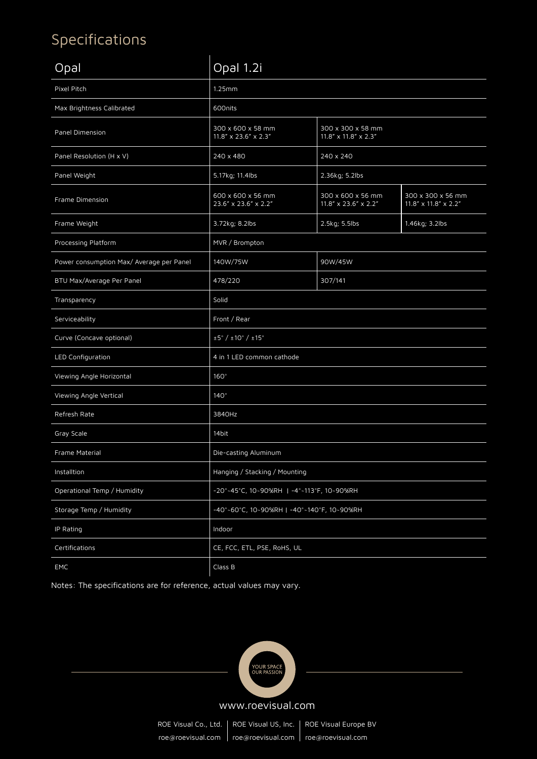## Specifications

| Opal                                     | Opal 1.2i                                                                                                            |                                           |                                           |  |
|------------------------------------------|----------------------------------------------------------------------------------------------------------------------|-------------------------------------------|-------------------------------------------|--|
| Pixel Pitch                              | 1.25mm                                                                                                               |                                           |                                           |  |
| Max Brightness Calibrated                | 600nits                                                                                                              |                                           |                                           |  |
| Panel Dimension                          | 300 x 600 x 58 mm<br>300 x 300 x 58 mm<br>$11.8'' \times 23.6'' \times 2.3''$<br>$11.8'' \times 11.8'' \times 2.3''$ |                                           |                                           |  |
| Panel Resolution (H x V)                 | 240 x 480<br>240 x 240                                                                                               |                                           |                                           |  |
| Panel Weight                             | 5.17kg; 11.4lbs                                                                                                      | 2.36kg; 5.2lbs                            |                                           |  |
| Frame Dimension                          | 600 x 600 x 56 mm<br>23.6" x 23.6" x 2.2"                                                                            | 300 x 600 x 56 mm<br>11.8" x 23.6" x 2.2" | 300 x 300 x 56 mm<br>11.8" x 11.8" x 2.2" |  |
| Frame Weight                             | 3.72kg; 8.2lbs                                                                                                       | 2.5kg; 5.5lbs                             | 1.46kg; 3.2lbs                            |  |
| Processing Platform                      | MVR / Brompton                                                                                                       |                                           |                                           |  |
| Power consumption Max/ Average per Panel | 140W/75W                                                                                                             | 90W/45W                                   |                                           |  |
| BTU Max/Average Per Panel                | 478/220                                                                                                              | 307/141                                   |                                           |  |
| Transparency                             | Solid                                                                                                                |                                           |                                           |  |
| Serviceability                           | Front / Rear                                                                                                         |                                           |                                           |  |
| Curve (Concave optional)                 | $\pm 5^{\circ}$ / $\pm 10^{\circ}$ / $\pm 15^{\circ}$                                                                |                                           |                                           |  |
| LED Configuration                        | 4 in 1 LED common cathode                                                                                            |                                           |                                           |  |
| Viewing Angle Horizontal                 | $160^\circ$                                                                                                          |                                           |                                           |  |
| Viewing Angle Vertical                   | $140^\circ$                                                                                                          |                                           |                                           |  |
| Refresh Rate                             | 3840Hz                                                                                                               |                                           |                                           |  |
| Gray Scale                               | 14bit                                                                                                                |                                           |                                           |  |
| Frame Material                           | Die-casting Aluminum                                                                                                 |                                           |                                           |  |
| Installtion                              | Hanging / Stacking / Mounting                                                                                        |                                           |                                           |  |
| Operational Temp / Humidity              | -20°-45°C, 10~90%RH   -4°-113°F, 10~90%RH                                                                            |                                           |                                           |  |
| Storage Temp / Humidity                  | -40°~60°C, 10~90%RH   -40°~140°F, 10~90%RH                                                                           |                                           |                                           |  |
| IP Rating                                | Indoor                                                                                                               |                                           |                                           |  |
| Certifications                           | CE, FCC, ETL, PSE, RoHS, UL                                                                                          |                                           |                                           |  |
| <b>EMC</b>                               | Class B                                                                                                              |                                           |                                           |  |

Notes: The specifications are for reference, actual values may vary.



ROE Visual Co., Ltd. | ROE Visual US, Inc. | ROE Visual Europe BV roe@roevisual.com | roe@roevisual.com | roe@roevisual.com